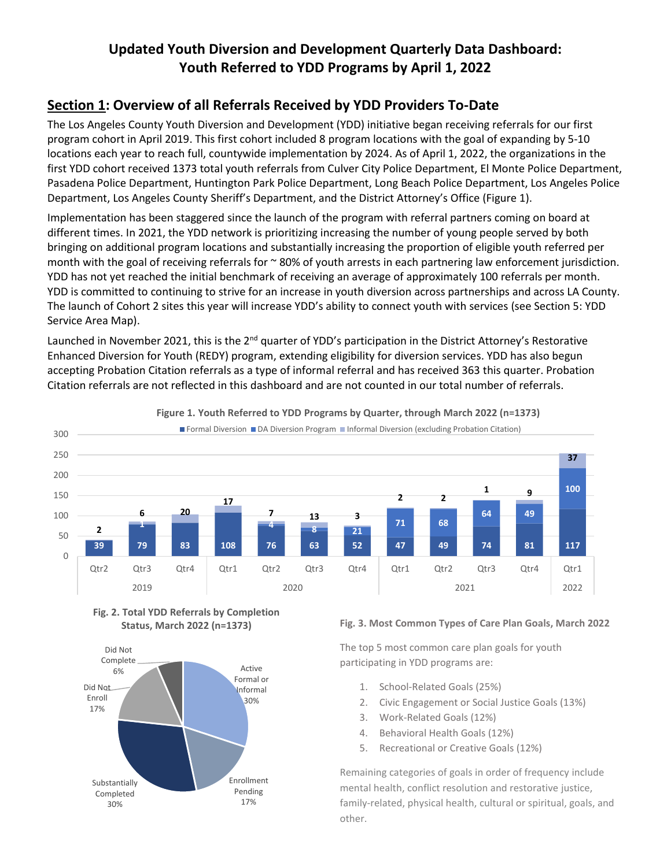# **Updated Youth Diversion and Development Quarterly Data Dashboard: Youth Referred to YDD Programs by April 1, 2022**

### **Section 1: Overview of all Referrals Received by YDD Providers To-Date**

The Los Angeles County Youth Diversion and Development (YDD) initiative began receiving referrals for our first program cohort in April 2019. This first cohort included 8 program locations with the goal of expanding by 5-10 locations each year to reach full, countywide implementation by 2024. As of April 1, 2022, the organizations in the first YDD cohort received 1373 total youth referrals from Culver City Police Department, El Monte Police Department, Pasadena Police Department, Huntington Park Police Department, Long Beach Police Department, Los Angeles Police Department, Los Angeles County Sheriff's Department, and the District Attorney's Office (Figure 1).

Implementation has been staggered since the launch of the program with referral partners coming on board at different times. In 2021, the YDD network is prioritizing increasing the number of young people served by both bringing on additional program locations and substantially increasing the proportion of eligible youth referred per month with the goal of receiving referrals for  $\sim$  80% of youth arrests in each partnering law enforcement jurisdiction. YDD has not yet reached the initial benchmark of receiving an average of approximately 100 referrals per month. YDD is committed to continuing to strive for an increase in youth diversion across partnerships and across LA County. The launch of Cohort 2 sites this year will increase YDD's ability to connect youth with services (see Section 5: YDD Service Area Map).

Launched in November 2021, this is the 2<sup>nd</sup> quarter of YDD's participation in the District Attorney's Restorative Enhanced Diversion for Youth (REDY) program, extending eligibility for diversion services. YDD has also begun accepting Probation Citation referrals as a type of informal referral and has received 363 this quarter. Probation Citation referrals are not reflected in this dashboard and are not counted in our total number of referrals.



**Figure 1. Youth Referred to YDD Programs by Quarter, through March 2022 (n=1373)**

**Fig. 2. Total YDD Referrals by Completion Status, March 2022 (n=1373)**



#### **Fig. 3. Most Common Types of Care Plan Goals, March 2022**

The top 5 most common care plan goals for youth participating in YDD programs are:

- 1. School-Related Goals (25%)
- 2. Civic Engagement or Social Justice Goals (13%)
- 3. Work-Related Goals (12%)
- 4. Behavioral Health Goals (12%)
- 5. Recreational or Creative Goals (12%)

Remaining categories of goals in order of frequency include mental health, conflict resolution and restorative justice, family-related, physical health, cultural or spiritual, goals, and other.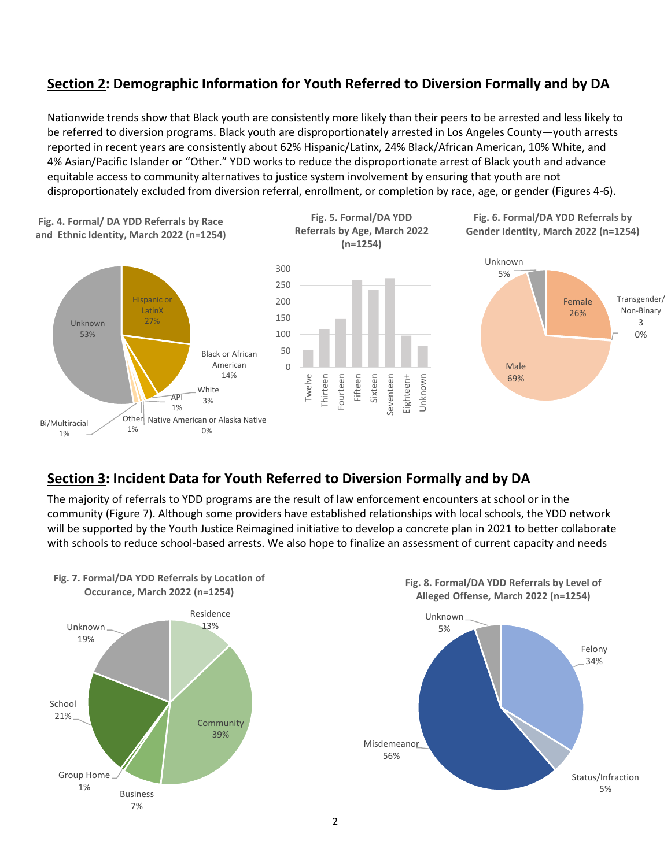## **Section 2: Demographic Information for Youth Referred to Diversion Formally and by DA**

Nationwide trends show that Black youth are consistently more likely than their peers to be arrested and less likely to be referred to diversion programs. Black youth are disproportionately arrested in Los Angeles County—youth arrests reported in recent years are consistently about 62% Hispanic/Latinx, 24% Black/African American, 10% White, and 4% Asian/Pacific Islander or "Other." YDD works to reduce the disproportionate arrest of Black youth and advance equitable access to community alternatives to justice system involvement by ensuring that youth are not disproportionately excluded from diversion referral, enrollment, or completion by race, age, or gender (Figures 4-6).



### **Section 3: Incident Data for Youth Referred to Diversion Formally and by DA**

The majority of referrals to YDD programs are the result of law enforcement encounters at school or in the community (Figure 7). Although some providers have established relationships with local schools, the YDD network will be supported by the Youth Justice Reimagined initiative to develop a concrete plan in 2021 to better collaborate with schools to reduce school-based arrests. We also hope to finalize an assessment of current capacity and needs

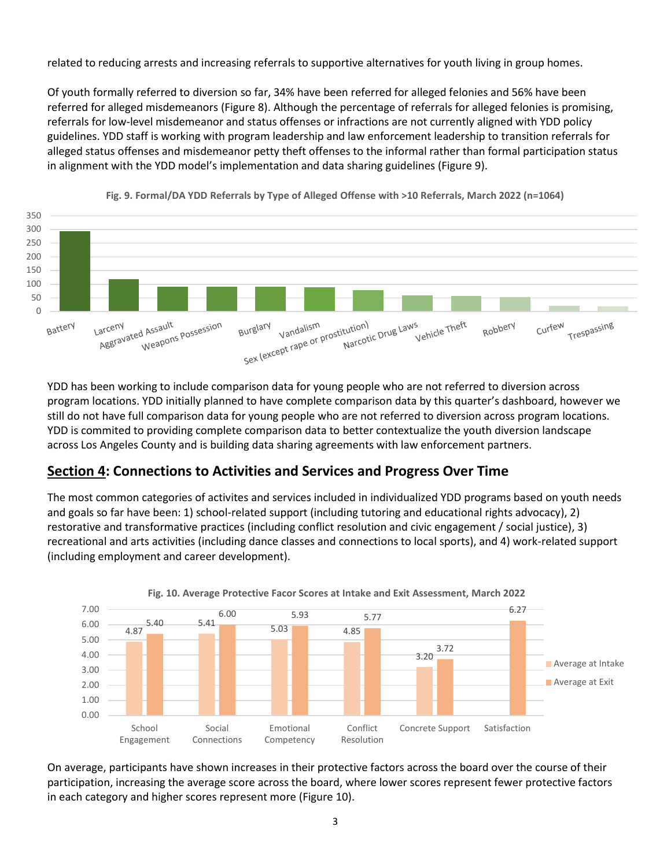related to reducing arrests and increasing referrals to supportive alternatives for youth living in group homes.

Of youth formally referred to diversion so far, 34% have been referred for alleged felonies and 56% have been referred for alleged misdemeanors (Figure 8). Although the percentage of referrals for alleged felonies is promising, referrals for low-level misdemeanor and status offenses or infractions are not currently aligned with YDD policy guidelines. YDD staff is working with program leadership and law enforcement leadership to transition referrals for alleged status offenses and misdemeanor petty theft offenses to the informal rather than formal participation status in alignment with the YDD model's implementation and data sharing guidelines (Figure 9).



**Fig. 9. Formal/DA YDD Referrals by Type of Alleged Offense with >10 Referrals, March 2022 (n=1064)**

YDD has been working to include comparison data for young people who are not referred to diversion across program locations. YDD initially planned to have complete comparison data by this quarter's dashboard, however we still do not have full comparison data for young people who are not referred to diversion across program locations. YDD is commited to providing complete comparison data to better contextualize the youth diversion landscape across Los Angeles County and is building data sharing agreements with law enforcement partners.

### **Section 4: Connections to Activities and Services and Progress Over Time**

The most common categories of activites and services included in individualized YDD programs based on youth needs and goals so far have been: 1) school-related support (including tutoring and educational rights advocacy), 2) restorative and transformative practices (including conflict resolution and civic engagement / social justice), 3) recreational and arts activities (including dance classes and connections to local sports), and 4) work-related support (including employment and career development).



On average, participants have shown increases in their protective factors across the board over the course of their participation, increasing the average score across the board, where lower scores represent fewer protective factors in each category and higher scores represent more (Figure 10).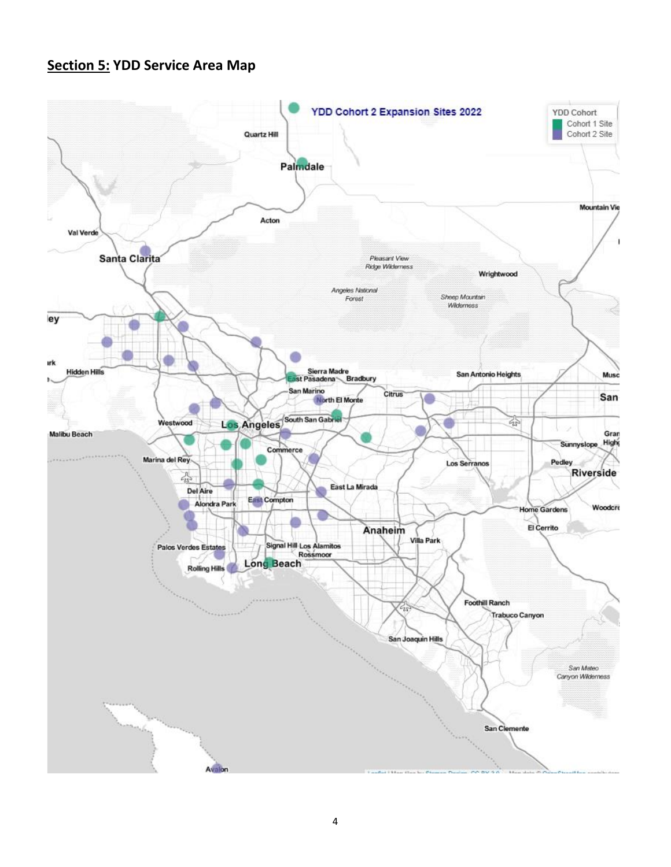## **Section 5: YDD Service Area Map**